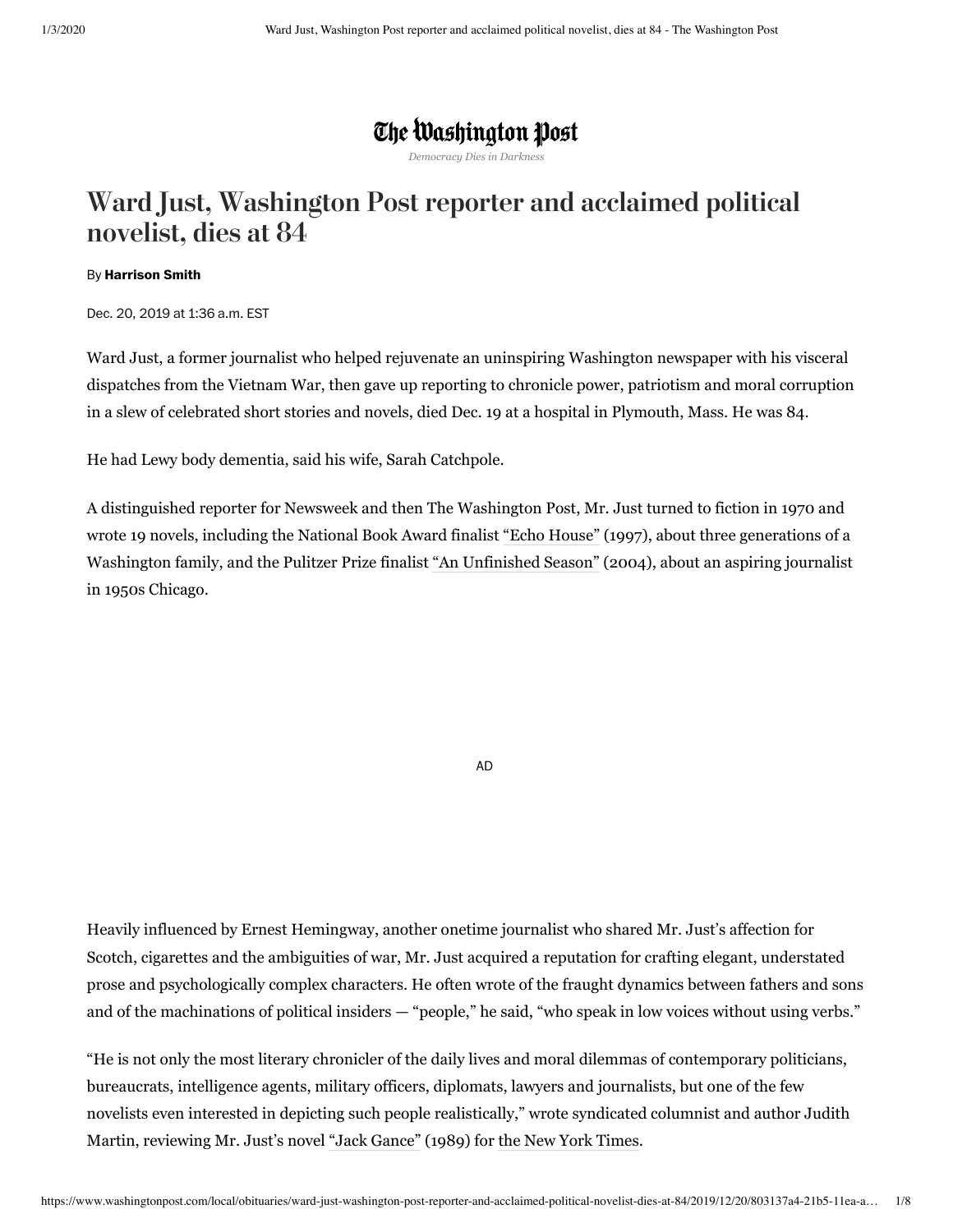# The Washington Post

*Democracy Dies in Darkness*

# Ward Just, Washington Post reporter and acclaimed political novelist, dies at 84

#### By **[Harrison](https://www.washingtonpost.com/people/harrison-smith/) Smith**

Dec. 20, 2019 at 1:36 a.m. EST

Ward Just, a former journalist who helped rejuvenate an uninspiring Washington newspaper with his visceral dispatches from the Vietnam War, then gave up reporting to chronicle power, patriotism and moral corruption in a slew of celebrated short stories and novels, died Dec. 19 at a hospital in Plymouth, Mass. He was 84.

He had Lewy body dementia, said his wife, Sarah Catchpole.

A distinguished reporter for Newsweek and then The Washington Post, Mr. Just turned to fiction in 1970 and wrote 19 novels, including the National Book Award finalist ["Echo House"](https://read.amazon.com/kp/embed?asin=B003KK5DPY&preview=newtab&linkCode=kpe&ref_=cm_sw_r_kb_dp_sNP.DbHS2M23C&tag=thewaspos09-20) (1997), about three generations of a Washington family, and the Pulitzer Prize finalist ["An Unfinished Season"](https://read.amazon.com/kp/embed?asin=B004VNHG36&preview=newtab&linkCode=kpe&ref_=cm_sw_r_kb_dp_SMP.Db406KVRN&tag=thewaspos09-20) (2004), about an aspiring journalist in 1950s Chicago.

AD

Heavily influenced by Ernest Hemingway, another onetime journalist who shared Mr. Just's affection for Scotch, cigarettes and the ambiguities of war, Mr. Just acquired a reputation for crafting elegant, understated prose and psychologically complex characters. He often wrote of the fraught dynamics between fathers and sons and of the machinations of political insiders — "people," he said, "who speak in low voices without using verbs."

"He is not only the most literary chronicler of the daily lives and moral dilemmas of contemporary politicians, bureaucrats, intelligence agents, military officers, diplomats, lawyers and journalists, but one of the few novelists even interested in depicting such people realistically," wrote syndicated columnist and author Judith Martin, reviewing Mr. Just's novel ["Jack Gance"](https://www.amazon.com/gp/product/0395856027?ie=UTF8&tag=slatmaga-20&camp=1789&linkCode=xm2&creativeASIN=0395856027) (1989) for [the New York Times.](https://archive.nytimes.com/www.nytimes.com/books/99/05/02/specials/just-gance.html)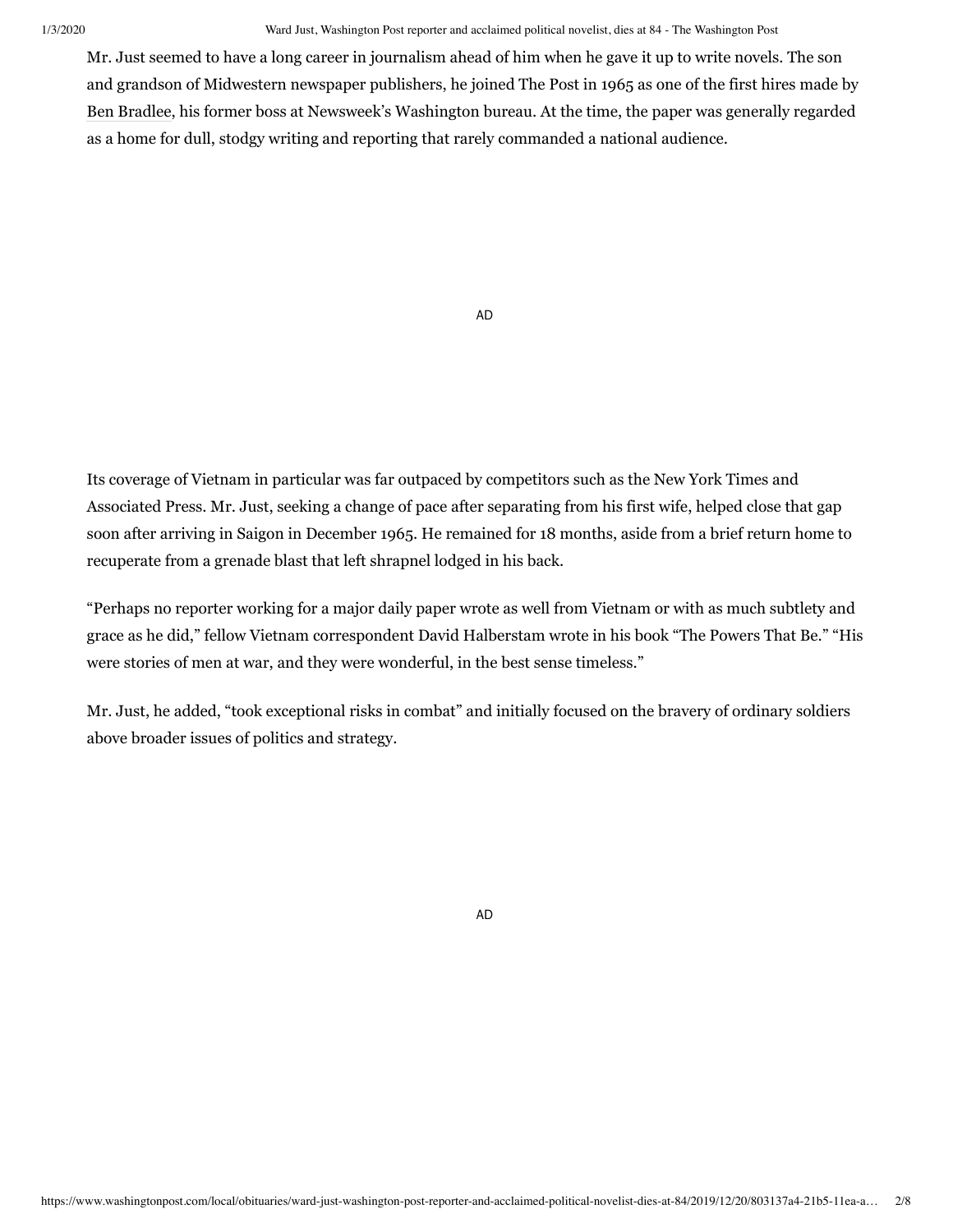Mr. Just seemed to have a long career in journalism ahead of him when he gave it up to write novels. The son and grandson of Midwestern newspaper publishers, he joined The Post in 1965 as one of the first hires made by [Ben Bradlee](https://www.washingtonpost.com/national/ben-bradlee-legendary-washington-post-editor-dies-at-93/2014/10/21/3e4cc1fc-c59c-11df-8dce-7a7dc354d1b1_story.html?tid=lk_inline_manual_8), his former boss at Newsweek's Washington bureau. At the time, the paper was generally regarded as a home for dull, stodgy writing and reporting that rarely commanded a national audience.

AD

Its coverage of Vietnam in particular was far outpaced by competitors such as the New York Times and Associated Press. Mr. Just, seeking a change of pace after separating from his first wife, helped close that gap soon after arriving in Saigon in December 1965. He remained for 18 months, aside from a brief return home to recuperate from a grenade blast that left shrapnel lodged in his back.

"Perhaps no reporter working for a major daily paper wrote as well from Vietnam or with as much subtlety and grace as he did," fellow Vietnam correspondent David Halberstam wrote in his book "The Powers That Be." "His were stories of men at war, and they were wonderful, in the best sense timeless."

Mr. Just, he added, "took exceptional risks in combat" and initially focused on the bravery of ordinary soldiers above broader issues of politics and strategy.

AD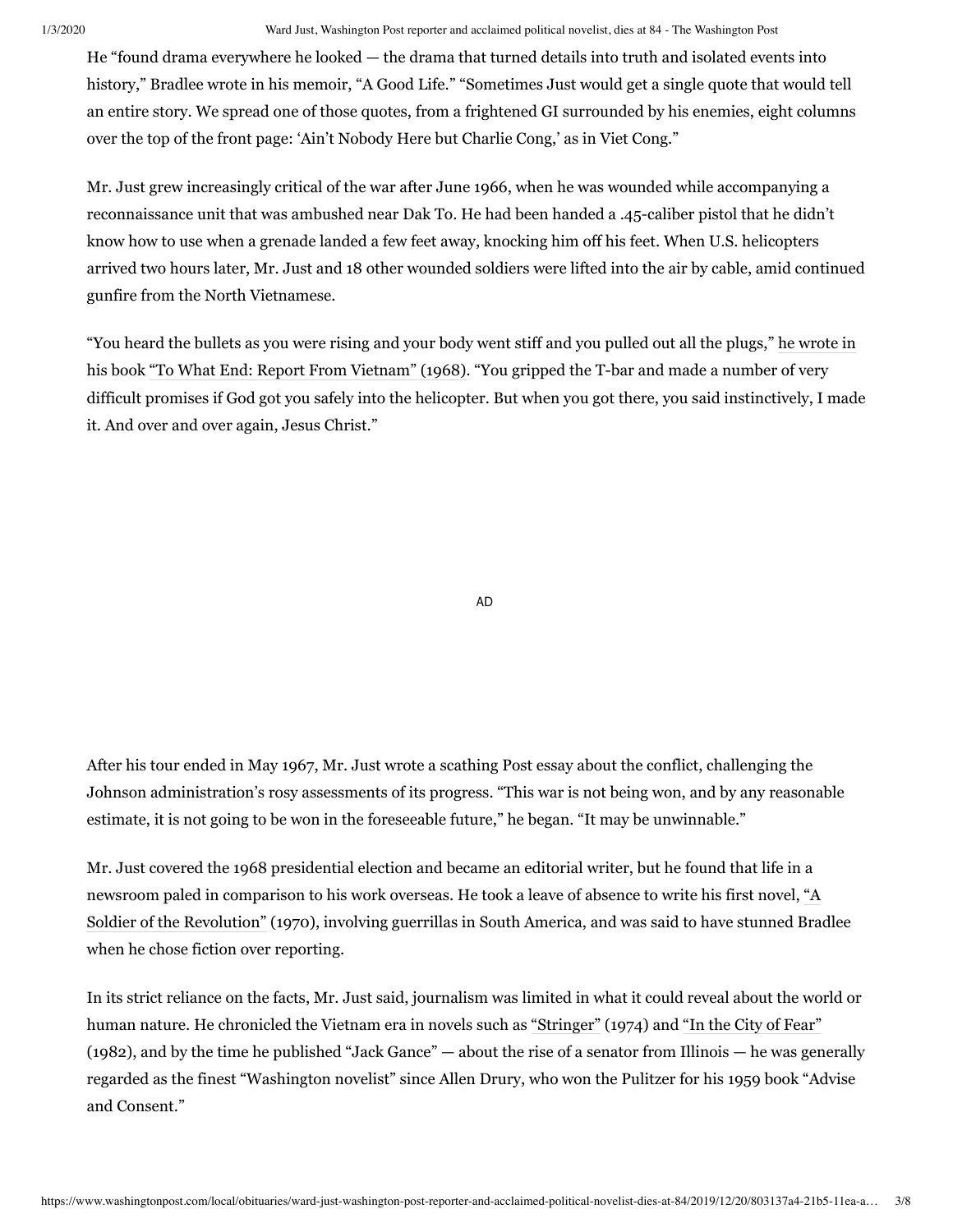He "found drama everywhere he looked — the drama that turned details into truth and isolated events into history," Bradlee wrote in his memoir, "A Good Life." "Sometimes Just would get a single quote that would tell an entire story. We spread one of those quotes, from a frightened GI surrounded by his enemies, eight columns over the top of the front page: 'Ain't Nobody Here but Charlie Cong,' as in Viet Cong."

Mr. Just grew increasingly critical of the war after June 1966, when he was wounded while accompanying a reconnaissance unit that was ambushed near Dak To. He had been handed a .45-caliber pistol that he didn't know how to use when a grenade landed a few feet away, knocking him off his feet. When U.S. helicopters arrived two hours later, Mr. Just and 18 other wounded soldiers were lifted into the air by cable, amid continued gunfire from the North Vietnamese.

"You heard the bullets as you were rising and your body went stiff and you pulled out all the plugs," [he wrote in](https://www.pbs.org/weta/reportingamericaatwar/reporters/just/reconnaissance.html) his book ["To What End: Report From Vietnam" \(1968\).](https://www.amazon.com/What-End-Ward-Just-ebook/dp/B002C74N66/ref=tmm_kin_swatch_0?_encoding=UTF8&qid=&sr=) "You gripped the T-bar and made a number of very difficult promises if God got you safely into the helicopter. But when you got there, you said instinctively, I made it. And over and over again, Jesus Christ."

AD

After his tour ended in May 1967, Mr. Just wrote a scathing Post essay about the conflict, challenging the Johnson administration's rosy assessments of its progress. "This war is not being won, and by any reasonable estimate, it is not going to be won in the foreseeable future," he began. "It may be unwinnable."

Mr. Just covered the 1968 presidential election and became an editorial writer, but he found that life in a newsroom paled in comparison to his work overseas. He took a leave of absence to write his first novel, "A [Soldier of the Revolution" \(1970\), involving guerrillas in South America, and was said to have stunned Bra](https://www.amazon.com/gp/product/B001W6Q76C?ie=UTF8&tag=slatmaga-20&camp=1789&linkCode=xm2&creativeASIN=B001W6Q76C)dlee when he chose fiction over reporting.

In its strict reliance on the facts, Mr. Just said, journalism was limited in what it could reveal about the world or human nature. He chronicled the Vietnam era in novels such as ["Stringer"](https://www.amazon.com/gp/product/0915308614?ie=UTF8&tag=slatmaga-20&camp=1789&linkCode=xm2&creativeASIN=0915308614) (1974) and ["In the City of Fear"](https://www.amazon.com/gp/product/0393307220?ie=UTF8&tag=slatmaga-20&camp=1789&linkCode=xm2&creativeASIN=0393307220) (1982), and by the time he published "Jack Gance" — about the rise of a senator from Illinois — he was generally regarded as the finest "Washington novelist" since Allen Drury, who won the Pulitzer for his 1959 book "Advise and Consent."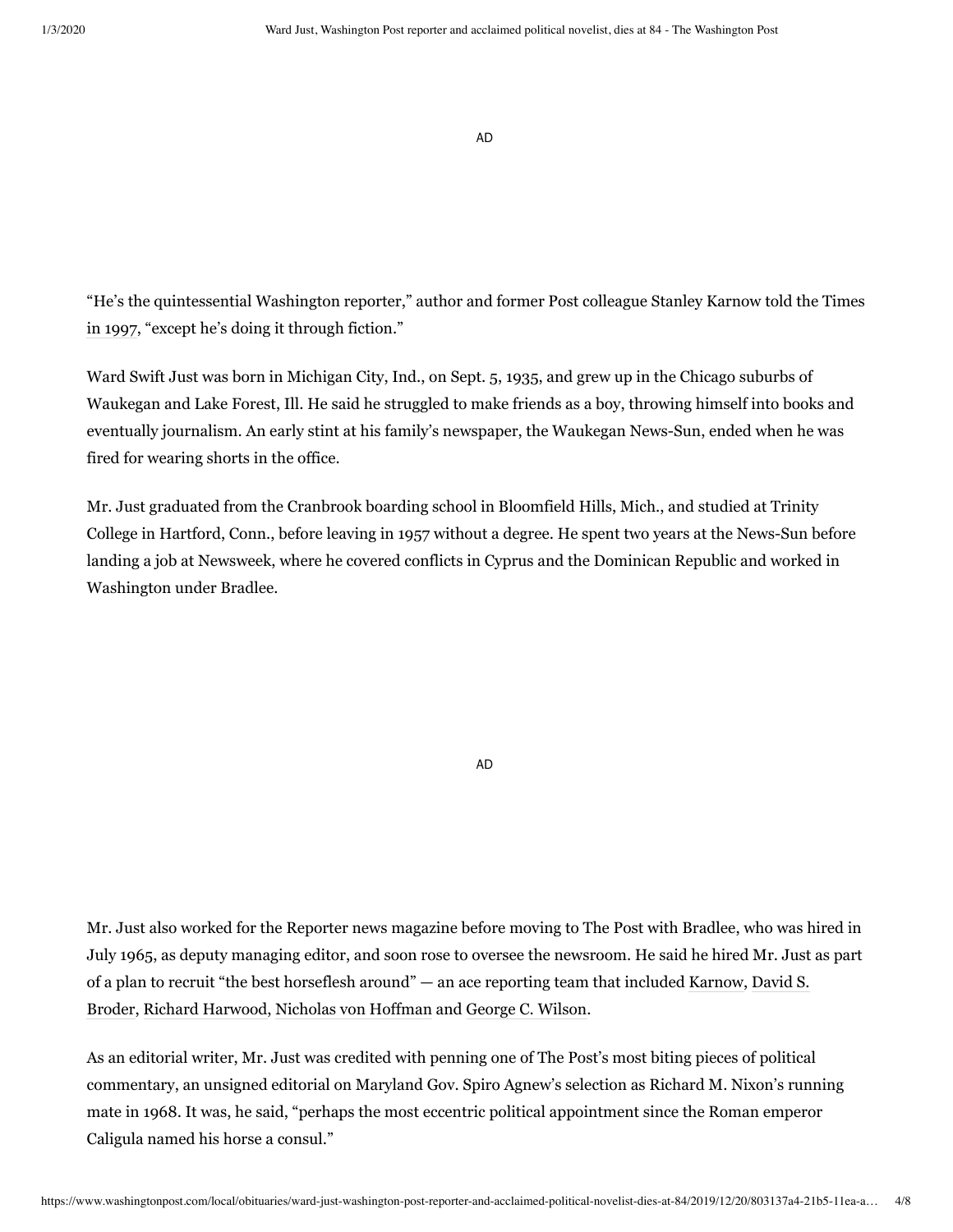AD

"He's the quintessential Washington reporter," author and former Post colleague Stanley Karnow told the Times [in 1997](https://archive.nytimes.com/www.nytimes.com/books/99/05/02/specials/just-distills.html), "except he's doing it through fiction."

Ward Swift Just was born in Michigan City, Ind., on Sept. 5, 1935, and grew up in the Chicago suburbs of Waukegan and Lake Forest, Ill. He said he struggled to make friends as a boy, throwing himself into books and eventually journalism. An early stint at his family's newspaper, the Waukegan News-Sun, ended when he was fired for wearing shorts in the office.

Mr. Just graduated from the Cranbrook boarding school in Bloomfield Hills, Mich., and studied at Trinity College in Hartford, Conn., before leaving in 1957 without a degree. He spent two years at the News-Sun before landing a job at Newsweek, where he covered conflicts in Cyprus and the Dominican Republic and worked in Washington under Bradlee.

AD

Mr. Just also worked for the Reporter news magazine before moving to The Post with Bradlee, who was hired in July 1965, as deputy managing editor, and soon rose to oversee the newsroom. He said he hired Mr. Just as part [of a plan to recruit "the best horseflesh around" — an ace reporting team that included K](https://www.washingtonpost.com/local/obituaries/david-broder-dies-pulitzer-winning-washington-post-political-columnist/2010/09/21/ABehbfP_page.html?tid=lk_inline_manual_30)[arnow](https://www.washingtonpost.com/local/obituaries/stanley-karnow-journalist-and-vietnam-historian-dies/2013/01/27/53cefb74-1c50-11e1-967a-d7f5eed205d7_story.html?tid=lk_inline_manual_30)[, David S.](https://www.washingtonpost.com/local/obituaries/david-broder-dies-pulitzer-winning-washington-post-political-columnist/2010/09/21/ABehbfP_page.html?tid=lk_inline_manual_30) Broder, [Richard Harwood,](https://www.washingtonpost.com/archive/local/2001/03/20/post-reporter-editor-ombudsman-richard-harwood-dies-at-age-75/668731c4-fefe-496f-baa4-1fd2039ede6f/?tid=lk_inline_manual_30) [Nicholas von Hoffman](https://www.washingtonpost.com/local/obituaries/nicholas-von-hoffman-post-reporter-and-columnist-with-a-literary-flair-dies-at-88/2018/02/01/2321ec46-0765-11e8-8777-2a059f168dd2_story.html?tid=lk_inline_manual_30) and [George C. Wilson](https://www.washingtonpost.com/local/obituaries/george-c-wilson-post-military-correspondent-dies-at-86/2014/02/12/d8167984-92a5-11e3-84e1-27626c5ef5fb_story.html?tid=lk_inline_manual_30).

As an editorial writer, Mr. Just was credited with penning one of The Post's most biting pieces of political commentary, an unsigned editorial on Maryland Gov. Spiro Agnew's selection as Richard M. Nixon's running mate in 1968. It was, he said, "perhaps the most eccentric political appointment since the Roman emperor Caligula named his horse a consul."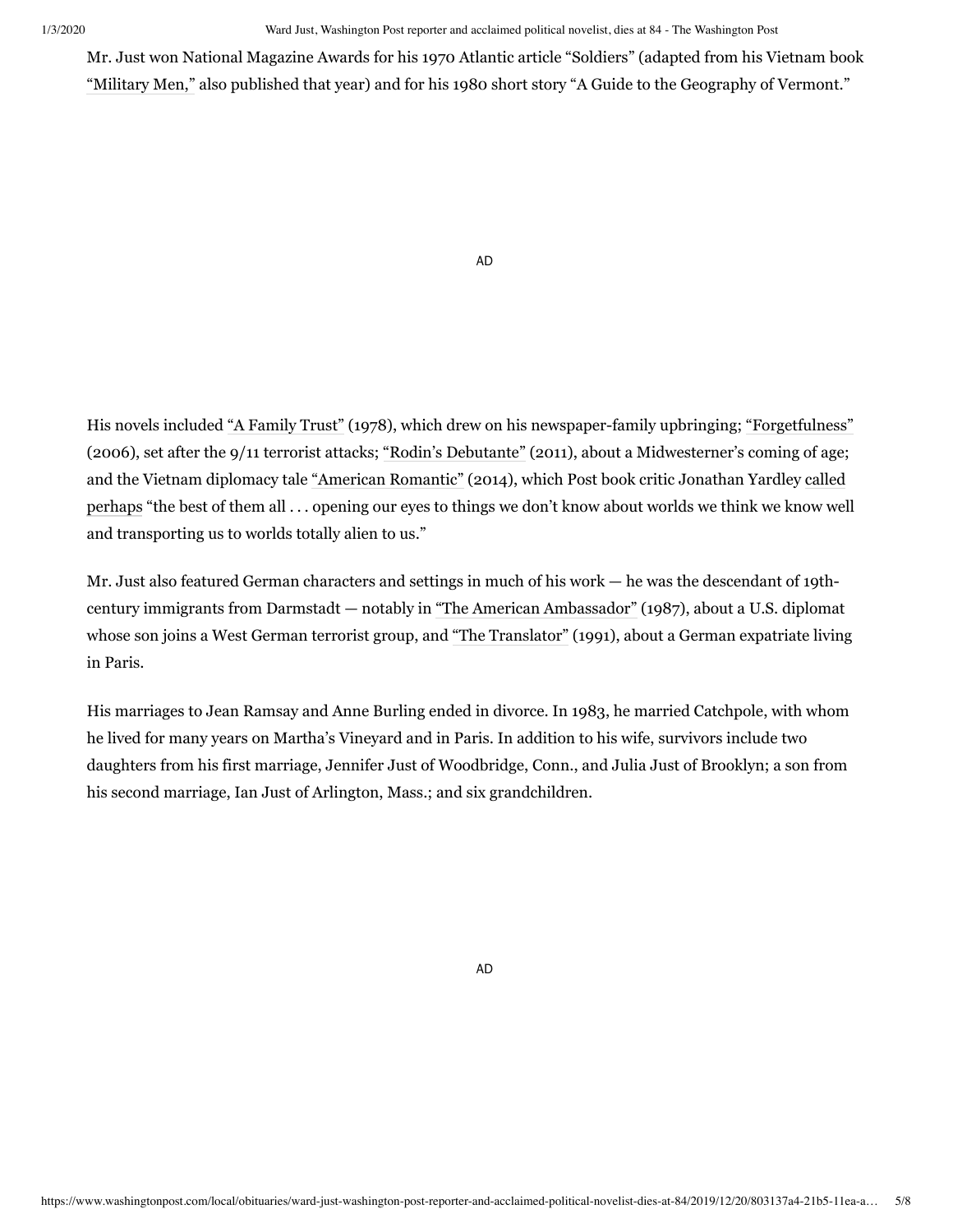Mr. Just won National Magazine Awards for his 1970 Atlantic article "Soldiers" (adapted from his Vietnam book ["Military Men,"](https://www.amazon.com/gp/product/0394436172?ie=UTF8&tag=slatmaga-20&camp=1789&linkCode=xm2&creativeASIN=0394436172) also published that year) and for his 1980 short story "A Guide to the Geography of Vermont."

AD

His novels included ["A Family Trust"](https://read.amazon.com/kp/embed?asin=B003PJ6UMA&preview=newtab&linkCode=kpe&ref_=cm_sw_r_kb_dp_tWP.DbWQAVT1R&tag=thewaspos09-20) (1978), which drew on his newspaper-family upbringing; ["Forgetfulness"](https://read.amazon.com/kp/embed?asin=B004SBN6UI&preview=newtab&linkCode=kpe&ref_=cm_sw_r_kb_dp_LWP.DbP6KGMRZ&tag=thewaspos09-20) (2006), set after the 9/11 terrorist attacks; ["Rodin's Debutante"](https://read.amazon.com/kp/embed?asin=B004M5HKI4&preview=newtab&linkCode=kpe&ref_=cm_sw_r_kb_dp_zXP.DbF6H5YJ7&tag=thewaspos09-20) (2011), about a Midwesterner's coming of age; [and the Vietnam diplomacy tale](https://www.washingtonpost.com/opinions/2014/04/04/9039eb52-b350-11e3-8cb6-284052554d74_story.html?_=ddid-3-1576788120&tid=lk_inline_manual_35) ["American Romantic"](https://read.amazon.com/kp/embed?asin=B00E78IFC6&preview=newtab&linkCode=kpe&ref_=cm_sw_r_kb_dp_YXP.DbMBRDPQ6&tag=thewaspos09-20) [\(2014\), which Post book critic Jonathan Yardley called](https://www.washingtonpost.com/opinions/2014/04/04/9039eb52-b350-11e3-8cb6-284052554d74_story.html?_=ddid-3-1576788120&tid=lk_inline_manual_35) perhaps "the best of them all . . . opening our eyes to things we don't know about worlds we think we know well and transporting us to worlds totally alien to us."

Mr. Just also featured German characters and settings in much of his work — he was the descendant of 19thcentury immigrants from Darmstadt — notably in ["The American Ambassador"](https://read.amazon.com/kp/embed?asin=B00IC9GSD4&preview=newtab&linkCode=kpe&ref_=cm_sw_r_kb_dp_JYP.DbDAZBFAH&tag=thewaspos09-20) (1987), about a U.S. diplomat whose son joins a West German terrorist group, and ["The Translator"](https://www.amazon.com/gp/product/0395571685?ie=UTF8&tag=slatmaga-20&camp=1789&linkCode=xm2&creativeASIN=0395571685) (1991), about a German expatriate living in Paris.

His marriages to Jean Ramsay and Anne Burling ended in divorce. In 1983, he married Catchpole, with whom he lived for many years on Martha's Vineyard and in Paris. In addition to his wife, survivors include two daughters from his first marriage, Jennifer Just of Woodbridge, Conn., and Julia Just of Brooklyn; a son from his second marriage, Ian Just of Arlington, Mass.; and six grandchildren.

AD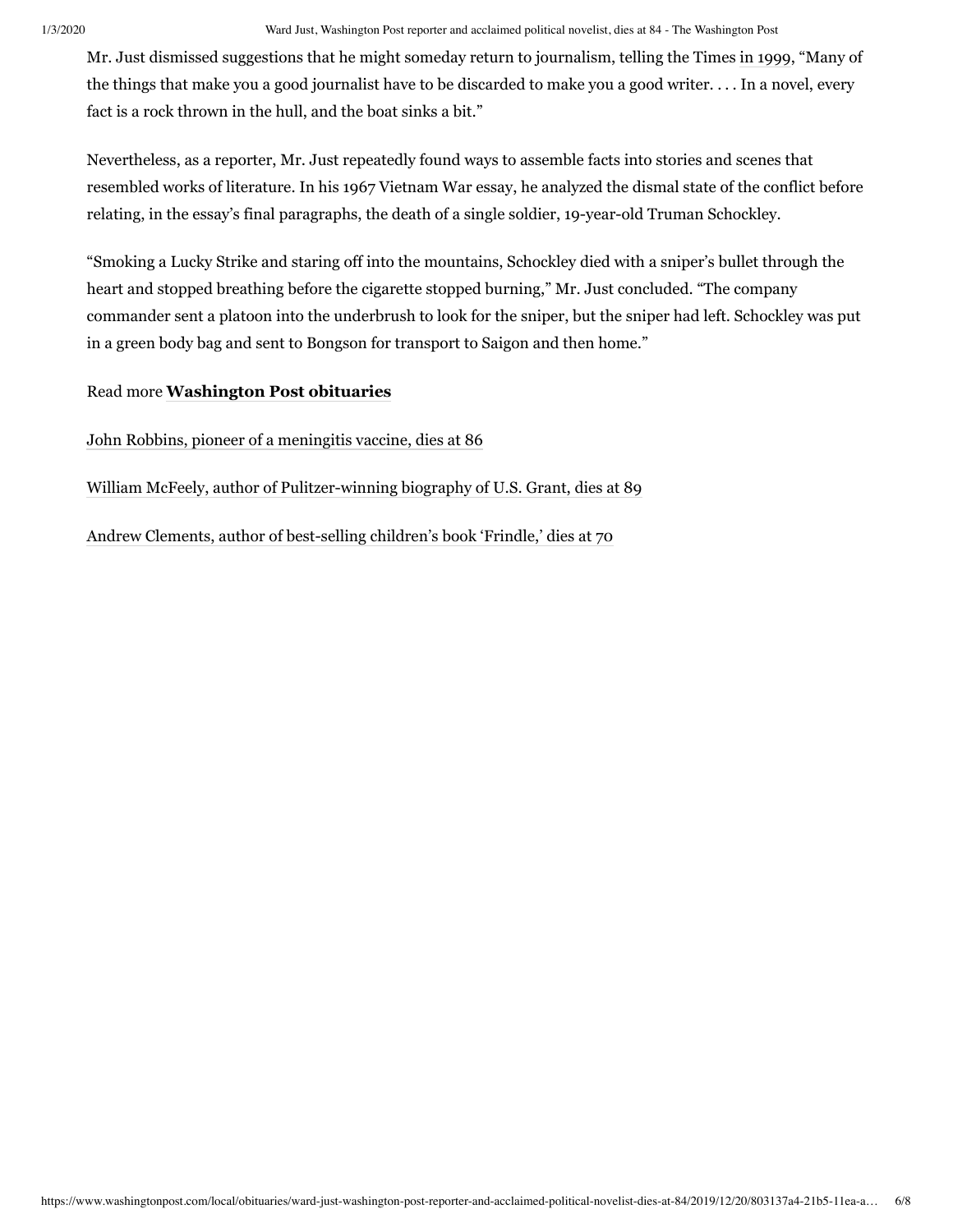Mr. Just dismissed suggestions that he might someday return to journalism, telling the Times [in 1999,](https://www.nytimes.com/1999/05/25/books/when-novel-reveals-itself-ward-just-reflects-delusions-people-nations.html) "Many of the things that make you a good journalist have to be discarded to make you a good writer. . . . In a novel, every fact is a rock thrown in the hull, and the boat sinks a bit."

Nevertheless, as a reporter, Mr. Just repeatedly found ways to assemble facts into stories and scenes that resembled works of literature. In his 1967 Vietnam War essay, he analyzed the dismal state of the conflict before relating, in the essay's final paragraphs, the death of a single soldier, 19-year-old Truman Schockley.

"Smoking a Lucky Strike and staring off into the mountains, Schockley died with a sniper's bullet through the heart and stopped breathing before the cigarette stopped burning," Mr. Just concluded. "The company commander sent a platoon into the underbrush to look for the sniper, but the sniper had left. Schockley was put in a green body bag and sent to Bongson for transport to Saigon and then home."

## Read more **[Washington Post obituaries](https://www.washingtonpost.com/local/obituaries/?tid=lk_inline_manual_44)**

[John Robbins, pioneer of a meningitis vaccine, dies at 86](https://www.washingtonpost.com/local/obituaries/john-robbins-pioneer-of-a-meningitis-vaccine-dies-at-86/2019/12/19/e55334c8-220c-11ea-86f3-3b5019d451db_story.html?tid=lk_inline_manual_45)

[William McFeely, author of Pulitzer-winning biography of U.S. Grant, dies at 89](https://www.washingtonpost.com/local/obituaries/john-robbins-pioneer-of-a-meningitis-vaccine-dies-at-86/2019/12/19/e55334c8-220c-11ea-86f3-3b5019d451db_story.html?tid=lk_inline_manual_46)

[Andrew Clements, author of best-selling children's book 'Frindle,' dies at 70](https://www.washingtonpost.com/local/obituaries/andrew-clements-author-of-best-selling-childrens-book-frindle-dies-at-70/2019/12/16/1c18f976-2018-11ea-a153-dce4b94e4249_story.html?tid=lk_inline_manual_47)